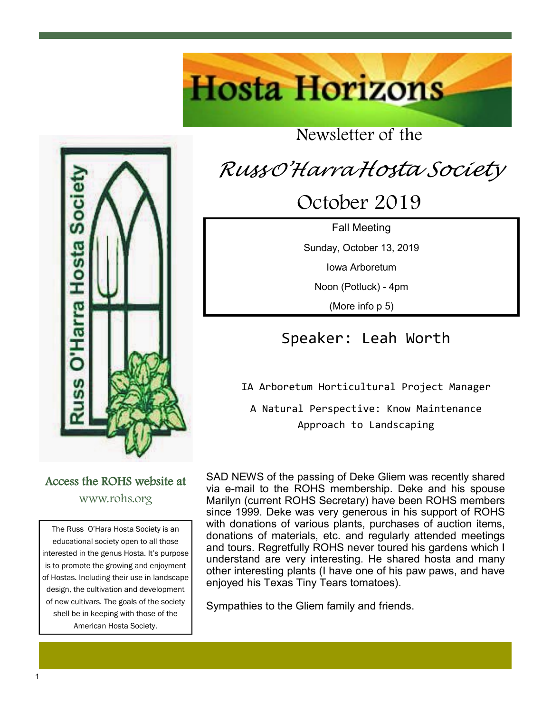# **Hosta Horizons**

### Newsletter of the

# *Russ <sup>O</sup>'Harra Hosta Society*

October 2019

Fall Meeting Sunday, October 13, 2019 Iowa Arboretum Noon (Potluck) - 4pm

(More info p 5)

### Speaker: Leah Worth

IA Arboretum Horticultural Project Manager

A Natural Perspective: Know Maintenance Approach to Landscaping

SAD NEWS of the passing of Deke Gliem was recently shared via e-mail to the ROHS membership. Deke and his spouse Marilyn (current ROHS Secretary) have been ROHS members since 1999. Deke was very generous in his support of ROHS with donations of various plants, purchases of auction items, donations of materials, etc. and regularly attended meetings and tours. Regretfully ROHS never toured his gardens which I understand are very interesting. He shared hosta and many other interesting plants (I have one of his paw paws, and have enjoyed his Texas Tiny Tears tomatoes).

Sympathies to the Gliem family and friends.

The Russ O'Hara Hosta Society is an educational society open to all those Access the ROHS website at www.rohs.org

interested in the genus Hosta. It's purpose is to promote the growing and enjoyment of Hostas. Including their use in landscape design, the cultivation and development of new cultivars. The goals of the society shell be in keeping with those of the American Hosta Society.

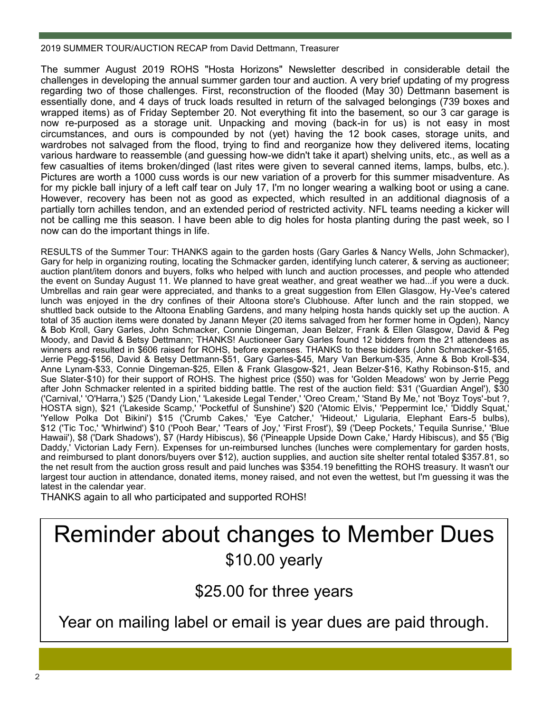#### 2019 SUMMER TOUR/AUCTION RECAP from David Dettmann, Treasurer

The summer August 2019 ROHS "Hosta Horizons" Newsletter described in considerable detail the challenges in developing the annual summer garden tour and auction. A very brief updating of my progress regarding two of those challenges. First, reconstruction of the flooded (May 30) Dettmann basement is essentially done, and 4 days of truck loads resulted in return of the salvaged belongings (739 boxes and wrapped items) as of Friday September 20. Not everything fit into the basement, so our 3 car garage is now re-purposed as a storage unit. Unpacking and moving (back-in for us) is not easy in most circumstances, and ours is compounded by not (yet) having the 12 book cases, storage units, and wardrobes not salvaged from the flood, trying to find and reorganize how they delivered items, locating various hardware to reassemble (and guessing how-we didn't take it apart) shelving units, etc., as well as a few casualties of items broken/dinged (last rites were given to several canned items, lamps, bulbs, etc.). Pictures are worth a 1000 cuss words is our new variation of a proverb for this summer misadventure. As for my pickle ball injury of a left calf tear on July 17, I'm no longer wearing a walking boot or using a cane. However, recovery has been not as good as expected, which resulted in an additional diagnosis of a partially torn achilles tendon, and an extended period of restricted activity. NFL teams needing a kicker will not be calling me this season. I have been able to dig holes for hosta planting during the past week, so I now can do the important things in life.

RESULTS of the Summer Tour: THANKS again to the garden hosts (Gary Garles & Nancy Wells, John Schmacker), Gary for help in organizing routing, locating the Schmacker garden, identifying lunch caterer, & serving as auctioneer; auction plant/item donors and buyers, folks who helped with lunch and auction processes, and people who attended the event on Sunday August 11. We planned to have great weather, and great weather we had...if you were a duck. Umbrellas and rain gear were appreciated, and thanks to a great suggestion from Ellen Glasgow, Hy-Vee's catered lunch was enjoyed in the dry confines of their Altoona store's Clubhouse. After lunch and the rain stopped, we shuttled back outside to the Altoona Enabling Gardens, and many helping hosta hands quickly set up the auction. A total of 35 auction items were donated by Janann Meyer (20 items salvaged from her former home in Ogden), Nancy & Bob Kroll, Gary Garles, John Schmacker, Connie Dingeman, Jean Belzer, Frank & Ellen Glasgow, David & Peg Moody, and David & Betsy Dettmann; THANKS! Auctioneer Gary Garles found 12 bidders from the 21 attendees as winners and resulted in \$606 raised for ROHS, before expenses. THANKS to these bidders (John Schmacker-\$165, Jerrie Pegg-\$156, David & Betsy Dettmann-\$51, Gary Garles-\$45, Mary Van Berkum-\$35, Anne & Bob Kroll-\$34, Anne Lynam-\$33, Connie Dingeman-\$25, Ellen & Frank Glasgow-\$21, Jean Belzer-\$16, Kathy Robinson-\$15, and Sue Slater-\$10) for their support of ROHS. The highest price (\$50) was for 'Golden Meadows' won by Jerrie Pegg after John Schmacker relented in a spirited bidding battle. The rest of the auction field: \$31 ('Guardian Angel'), \$30 ('Carnival,' 'O'Harra,') \$25 ('Dandy Lion,' 'Lakeside Legal Tender,' 'Oreo Cream,' 'Stand By Me,' not 'Boyz Toys'-but ?, HOSTA sign), \$21 ('Lakeside Scamp,' 'Pocketful of Sunshine') \$20 ('Atomic Elvis,' 'Peppermint Ice,' 'Diddly Squat,' 'Yellow Polka Dot Bikini') \$15 ('Crumb Cakes,' 'Eye Catcher,' 'Hideout,' Ligularia, Elephant Ears-5 bulbs), \$12 ('Tic Toc,' 'Whirlwind') \$10 ('Pooh Bear,' 'Tears of Joy,' 'First Frost'), \$9 ('Deep Pockets,' Tequila Sunrise,' 'Blue Hawaii'), \$8 ('Dark Shadows'), \$7 (Hardy Hibiscus), \$6 ('Pineapple Upside Down Cake,' Hardy Hibiscus), and \$5 ('Big Daddy,' Victorian Lady Fern). Expenses for un-reimbursed lunches (lunches were complementary for garden hosts, and reimbursed to plant donors/buyers over \$12), auction supplies, and auction site shelter rental totaled \$357.81, so the net result from the auction gross result and paid lunches was \$354.19 benefitting the ROHS treasury. It wasn't our largest tour auction in attendance, donated items, money raised, and not even the wettest, but I'm guessing it was the latest in the calendar year.

THANKS again to all who participated and supported ROHS!

## Reminder about changes to Member Dues \$10.00 yearly

\$25.00 for three years

Year on mailing label or email is year dues are paid through.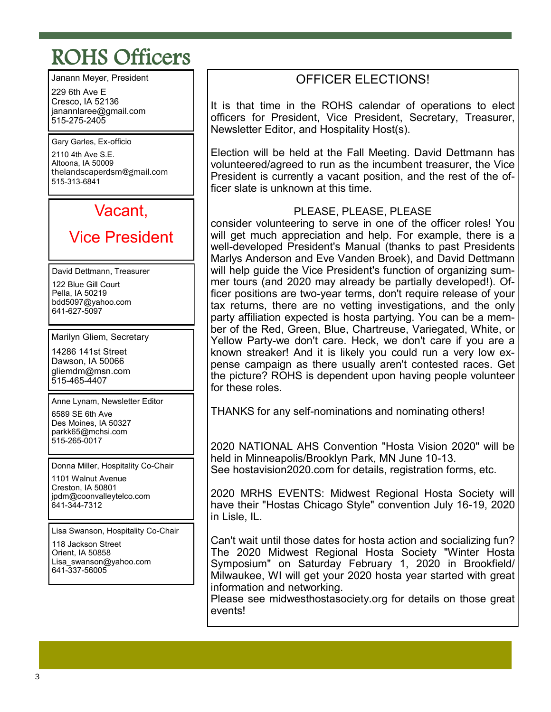# ROHS Officers

Janann Meyer, President

229 6th Ave E Cresco, IA 52136 janannlaree@gmail.com 515-275-2405

Gary Garles, Ex-officio 2110 4th Ave S.E. Altoona, IA 50009 thelandscaperdsm@gmail.com 515-313-6841

### Vacant,

### Vice President

David Dettmann, Treasurer 122 Blue Gill Court Pella, IA 50219 bdd5097@yahoo.com 641-627-5097

Marilyn Gliem, Secretary

14286 141st Street Dawson, IA 50066 gliemdm@msn.com 515-465-4407

Anne Lynam, Newsletter Editor

6589 SE 6th Ave Des Moines, IA 50327 parkk65@mchsi.com 515-265-0017

Donna Miller, Hospitality Co-Chair

1101 Walnut Avenue Creston, IA 50801 jpdm@coonvalleytelco.com 641-344-7312

Lisa Swanson, Hospitality Co-Chair

118 Jackson Street Orient, IA 50858 Lisa swanson@yahoo.com 641-337-56005

### OFFICER ELECTIONS!

It is that time in the ROHS calendar of operations to elect officers for President, Vice President, Secretary, Treasurer, Newsletter Editor, and Hospitality Host(s).

Election will be held at the Fall Meeting. David Dettmann has volunteered/agreed to run as the incumbent treasurer, the Vice President is currently a vacant position, and the rest of the officer slate is unknown at this time.

#### PLEASE, PLEASE, PLEASE

consider volunteering to serve in one of the officer roles! You will get much appreciation and help. For example, there is a well-developed President's Manual (thanks to past Presidents Marlys Anderson and Eve Vanden Broek), and David Dettmann will help guide the Vice President's function of organizing summer tours (and 2020 may already be partially developed!). Officer positions are two-year terms, don't require release of your tax returns, there are no vetting investigations, and the only party affiliation expected is hosta partying. You can be a member of the Red, Green, Blue, Chartreuse, Variegated, White, or Yellow Party-we don't care. Heck, we don't care if you are a known streaker! And it is likely you could run a very low expense campaign as there usually aren't contested races. Get the picture? ROHS is dependent upon having people volunteer for these roles.

THANKS for any self-nominations and nominating others!

2020 NATIONAL AHS Convention "Hosta Vision 2020" will be held in Minneapolis/Brooklyn Park, MN June 10-13. See hostavision2020.com for details, registration forms, etc.

2020 MRHS EVENTS: Midwest Regional Hosta Society will have their "Hostas Chicago Style" convention July 16-19, 2020 in Lisle, IL.

Can't wait until those dates for hosta action and socializing fun? The 2020 Midwest Regional Hosta Society "Winter Hosta Symposium" on Saturday February 1, 2020 in Brookfield/ Milwaukee, WI will get your 2020 hosta year started with great information and networking.

Please see midwesthostasociety.org for details on those great events!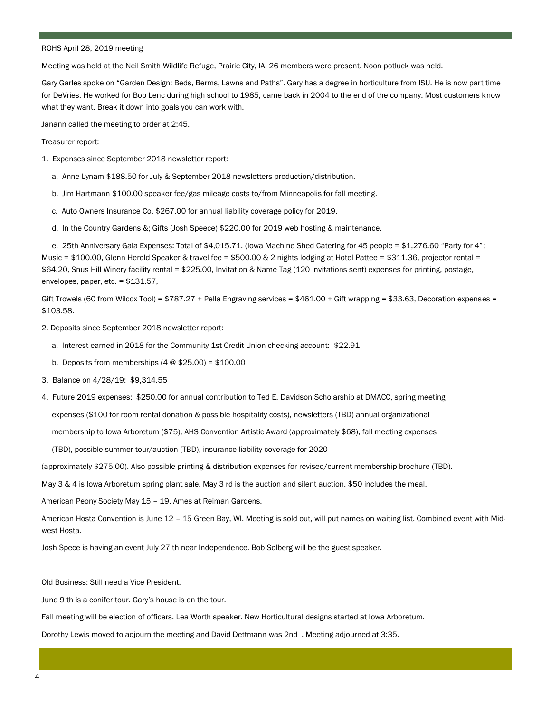#### ROHS April 28, 2019 meeting

Meeting was held at the Neil Smith Wildlife Refuge, Prairie City, IA. 26 members were present. Noon potluck was held.

Gary Garles spoke on "Garden Design: Beds, Berms, Lawns and Paths". Gary has a degree in horticulture from ISU. He is now part time for DeVries. He worked for Bob Lenc during high school to 1985, came back in 2004 to the end of the company. Most customers know what they want. Break it down into goals you can work with.

Janann called the meeting to order at 2:45.

Treasurer report:

- 1. Expenses since September 2018 newsletter report:
	- a. Anne Lynam \$188.50 for July & September 2018 newsletters production/distribution.
	- b. Jim Hartmann \$100.00 speaker fee/gas mileage costs to/from Minneapolis for fall meeting.
	- c. Auto Owners Insurance Co. \$267.00 for annual liability coverage policy for 2019.
	- d. In the Country Gardens &; Gifts (Josh Speece) \$220.00 for 2019 web hosting & maintenance.

 e. 25th Anniversary Gala Expenses: Total of \$4,015.71. (Iowa Machine Shed Catering for 45 people = \$1,276.60 "Party for 4"; Music = \$100.00, Glenn Herold Speaker & travel fee = \$500.00 & 2 nights lodging at Hotel Pattee = \$311.36, projector rental = \$64.20, Snus Hill Winery facility rental = \$225.00, Invitation & Name Tag (120 invitations sent) expenses for printing, postage, envelopes, paper, etc. = \$131.57,

Gift Trowels (60 from Wilcox Tool) = \$787.27 + Pella Engraving services = \$461.00 + Gift wrapping = \$33.63, Decoration expenses = \$103.58.

- 2. Deposits since September 2018 newsletter report:
	- a. Interest earned in 2018 for the Community 1st Credit Union checking account: \$22.91
	- b. Deposits from memberships  $(4 \otimes $25.00) = $100.00$
- 3. Balance on 4/28/19: \$9,314.55
- 4. Future 2019 expenses: \$250.00 for annual contribution to Ted E. Davidson Scholarship at DMACC, spring meeting

expenses (\$100 for room rental donation & possible hospitality costs), newsletters (TBD) annual organizational

membership to Iowa Arboretum (\$75), AHS Convention Artistic Award (approximately \$68), fall meeting expenses

(TBD), possible summer tour/auction (TBD), insurance liability coverage for 2020

(approximately \$275.00). Also possible printing & distribution expenses for revised/current membership brochure (TBD).

May 3 & 4 is Iowa Arboretum spring plant sale. May 3 rd is the auction and silent auction. \$50 includes the meal.

American Peony Society May 15 – 19. Ames at Reiman Gardens.

American Hosta Convention is June 12 – 15 Green Bay, WI. Meeting is sold out, will put names on waiting list. Combined event with Midwest Hosta.

Josh Spece is having an event July 27 th near Independence. Bob Solberg will be the guest speaker.

Old Business: Still need a Vice President.

June 9 th is a conifer tour. Gary's house is on the tour.

Fall meeting will be election of officers. Lea Worth speaker. New Horticultural designs started at Iowa Arboretum.

Dorothy Lewis moved to adjourn the meeting and David Dettmann was 2nd . Meeting adjourned at 3:35.